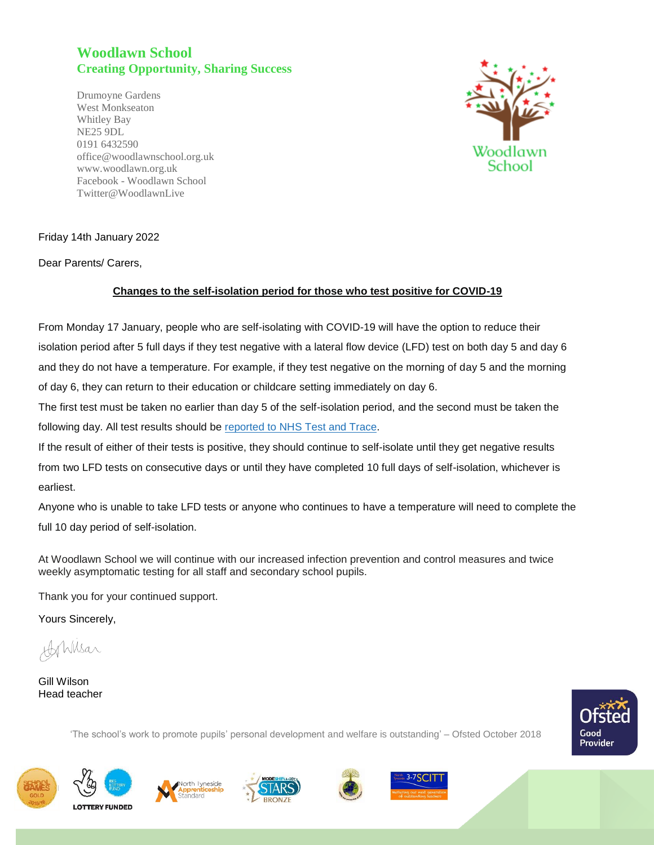## **Woodlawn School Creating Opportunity, Sharing Success**

Drumoyne Gardens West Monkseaton Whitley Bay NE25 9DL 0191 6432590 office@woodlawnschool.org.uk [www.woodlawn.](http://www.woodlawn/)org.uk Facebook - Woodlawn School Twitter@WoodlawnLive



## Friday 14th January 2022

Dear Parents/ Carers,

## **Changes to the self-isolation period for those who test positive for COVID-19**

From Monday 17 January, people who are self-isolating with COVID-19 will have the option to reduce their isolation period after 5 full days if they test negative with a lateral flow device (LFD) test on both day 5 and day 6 and they do not have a temperature. For example, if they test negative on the morning of day 5 and the morning of day 6, they can return to their education or childcare setting immediately on day 6.

The first test must be taken no earlier than day 5 of the self-isolation period, and the second must be taken the following day. All test results should be [reported](https://www.gov.uk/report-covid19-result?utm_source=14%20January%202022%20C19&utm_medium=Daily%20Email%20C19&utm_campaign=DfE%20C19) to NHS Test and Trace.

If the result of either of their tests is positive, they should continue to self-isolate until they get negative results from two LFD tests on consecutive days or until they have completed 10 full days of self-isolation, whichever is earliest.

Anyone who is unable to take LFD tests or anyone who continues to have a temperature will need to complete the full 10 day period of self-isolation.

At Woodlawn School we will continue with our increased infection prevention and control measures and twice weekly asymptomatic testing for all staff and secondary school pupils.

'The school's work to promote pupils' personal development and welfare is outstanding' – Ofsted October 2018

Thank you for your continued support.

Yours Sincerely,

Applysar

Gill Wilson Head teacher

Good Provider